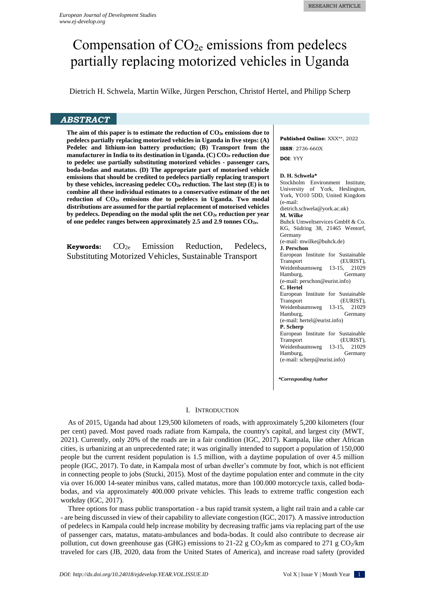# Compensation of  $CO<sub>2e</sub>$  emissions from pedelecs partially replacing motorized vehicles in Uganda

Dietrich H. Schwela, Martin Wilke, Jürgen Perschon, Christof Hertel, and Philipp Scherp

# *ABSTRACT*

**The aim of this paper is to estimate the reduction of CO2e emissions due to pedelecs partially replacing motorized vehicles in Uganda in five steps: (A) Pedelec and lithium-ion battery production; (B) Transport from the manufacturer in India to its destination in Uganda. (C) CO2e reduction due to pedelec use partially substituting motorized vehicles - passenger cars, boda-bodas and matatus. (D) The appropriate part of motorised vehicle emissions that should be credited to pedelecs partially replacing transport by these vehicles, increasing pedelec CO2e reduction. The last step (E) is to combine all these individual estimates to a conservative estimate of the net reduction of CO2e emissions due to pedelecs in Uganda. Two modal distributions are assumed for the partial replacement of motorised vehicles by pedelecs. Depending on the modal split the net CO2e reduction per year of one pedelec ranges between approximately 2.5 and 2.9 tonnes CO2e.** 

| Keywords: | CO <sub>2e</sub> | Emission | Reduction,                                                    | Pedelecs, |
|-----------|------------------|----------|---------------------------------------------------------------|-----------|
|           |                  |          | <b>Substituting Motorized Vehicles, Sustainable Transport</b> |           |

**Published Online:** XXX\*\*, 2022

**ISSN**: 2736-660X

**DOI**: YYY

# **D. H. Schwela\***

Stockholm Environment Institute, University of York, Heslington, York, YO10 5DD, United Kingdom (e-mail: [dietrich.schwela@york.ac.uk\)](mailto:dietrich.schwela@york.ac.uk) **M. Wilke** Buhck Umweltservices GmbH & Co. KG, Südring 38, 21465 Wentorf, Germany (e-mail: mwilke@buhck.de) **J. Perschon** European Institute for Sustainable Transport (EURIST), Weidenbaumsweg 13-15, 21029<br>Hamburg, Germany Hamburg, (e-mail: perschon@eurist.info) **C. Hertel** European Institute for Sustainable<br>Transport (EURIST), (EURIST), Weidenbaumsweg 13-15, 21029 Hamburg, Germany (e-mail: hertel@eurist.info) **P. Scherp** European Institute for Sustainable Transport (EURIST),<br>Weidenbaumsweg 13-15, 21029 Weidenbaumsweg Hamburg, Germany (e-mail: scherp@eurist.info)

*\*Corresponding Author*

# I. INTRODUCTION

As of 2015, Uganda had about 129,500 kilometers of roads, with approximately 5,200 kilometers (four per cent) paved. Most paved roads radiate from Kampala, the country's capital, and largest city (MWT, 2021). Currently, only 20% of the roads are in a fair condition (IGC, 2017). Kampala, like other African cities, is urbanizing at an unprecedented rate; it was originally intended to support a population of 150,000 people but the current resident population is 1.5 million, with a daytime population of over 4.5 million people (IGC, 2017). To date, in Kampala most of urban dweller's commute by foot, which is not efficient in connecting people to jobs (Stucki, 2015). Most of the daytime population enter and commute in the city via over 16.000 14-seater minibus vans, called matatus, more than 100.000 motorcycle taxis, called bodabodas, and via approximately 400.000 private vehicles. This leads to extreme traffic congestion each workday (IGC, 2017).

Three options for mass public transportation - a bus rapid transit system, a light rail train and a cable car - are being discussed in view of their capability to alleviate congestion (IGC, 2017). A massive introduction of pedelecs in Kampala could help increase mobility by decreasing traffic jams via replacing part of the use of passenger cars, matatus, matatu-ambulances and boda-bodas. It could also contribute to decrease air pollution, cut down greenhouse gas (GHG) emissions to 21-22 g  $CO<sub>2</sub>/km$  as compared to 271 g  $CO<sub>2</sub>/km$ traveled for cars (JB, 2020, data from the United States of America), and increase road safety (provided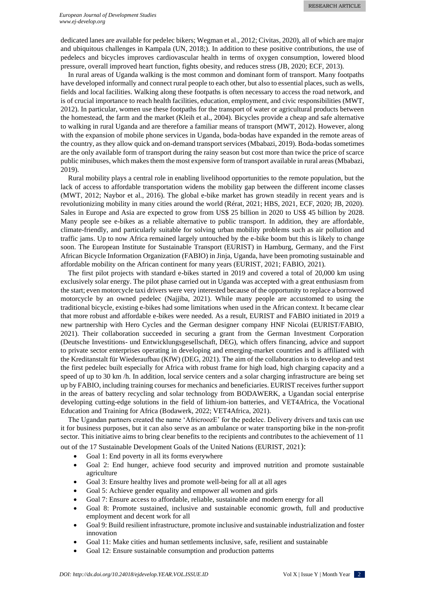dedicated lanes are available for pedelec bikers; Wegman et al., 2012; Civitas, 2020), all of which are major and ubiquitous challenges in Kampala (UN, 2018;). In addition to these positive contributions, the use of pedelecs and bicycles improves cardiovascular health in terms of oxygen consumption, lowered blood pressure, overall improved heart function, fights obesity, and reduces stress (JB, 2020; ECF, 2013).

In rural areas of Uganda walking is the most common and dominant form of transport. Many footpaths have developed informally and connect rural people to each other, but also to essential places, such as wells, fields and local facilities. Walking along these footpaths is often necessary to access the road network, and is of crucial importance to reach health facilities, education, employment, and civic responsibilities (MWT, 2012). In particular, women use these footpaths for the transport of water or agricultural products between the homestead, the farm and the market (Kleih et al., 2004). Bicycles provide a cheap and safe alternative to walking in rural Uganda and are therefore a familiar means of transport (MWT, 2012). However, along with the expansion of mobile phone services in Uganda, boda-bodas have expanded in the remote areas of the country, as they allow quick and on-demand transport services (Mbabazi, 2019). Boda-bodas sometimes are the only available form of transport during the rainy season but cost more than twice the price of scarce public minibuses, which makes them the most expensive form of transport available in rural areas (Mbabazi, 2019).

Rural mobility plays a central role in enabling livelihood opportunities to the remote population, but the lack of access to affordable transportation widens the mobility gap between the different income classes (MWT, 2012; Naybor et al., 2016). The global e-bike market has grown steadily in recent years and is revolutionizing mobility in many cities around the world (Rérat, 2021; HBS, 2021, ECF, 2020; JB, 2020). Sales in Europe and Asia are expected to grow from US\$ 25 billion in 2020 to US\$ 45 billion by 2028. Many people see e-bikes as a reliable alternative to public transport. In addition, they are affordable, climate-friendly, and particularly suitable for solving urban mobility problems such as air pollution and traffic jams. Up to now Africa remained largely untouched by the e-bike boom but this is likely to change soon. The European Institute for Sustainable Transport (EURIST) in Hamburg, Germany, and the First African Bicycle Information Organization (FABIO) in Jinja, Uganda, have been promoting sustainable and affordable mobility on the African continent for many years (EURIST, 2021; FABIO, 2021).

The first pilot projects with standard e-bikes started in 2019 and covered a total of 20,000 km using exclusively solar energy. The pilot phase carried out in Uganda was accepted with a great enthusiasm from the start; even motorcycle taxi drivers were very interested because of the opportunity to replace a borrowed motorcycle by an owned pedelec (Najjiba, 2021). While many people are accustomed to using the traditional bicycle, existing e-bikes had some limitations when used in the African context. It became clear that more robust and affordable e-bikes were needed. As a result, EURIST and FABIO initiated in 2019 a new partnership with Hero Cycles and the German designer company HNF Nicolai (EURIST/FABIO, 2021). Their collaboration succeeded in securing a grant from the German Investment Corporation (Deutsche Investitions- und Entwicklungsgesellschaft, DEG), which offers financing, advice and support to private sector enterprises operating in developing and emerging-market countries and is affiliated with the Kreditanstalt für Wiederaufbau (KfW) (DEG, 2021). The aim of the collaboration is to develop and test the first pedelec built especially for Africa with robust frame for high load, high charging capacity and a speed of up to 30 km /h. In addition, local service centers and a solar charging infrastructure are being set up by FABIO, including training courses for mechanics and beneficiaries. EURIST receives further support in the areas of battery recycling and solar technology from BODAWERK, a Ugandan social enterprise developing cutting-edge solutions in the field of lithium-ion batteries, and VET4Africa, the Vocational Education and Training for Africa (Bodawerk, 2022; VET4Africa, 2021).

The Ugandan partners created the name 'AfricroozE' for the pedelec. Delivery drivers and taxis can use it for business purposes, but it can also serve as an ambulance or water transporting bike in the non-profit sector. This initiative aims to bring clear benefits to the recipients and contributes to the achievement of 11 out of the 17 Sustainable Development Goals of the United Nations (EURIST, 2021):

- Goal 1: End poverty in all its forms everywhere
- Goal 2: End hunger, achieve food security and improved nutrition and promote sustainable agriculture
- Goal 3: Ensure healthy lives and promote well-being for all at all ages
- Goal 5: Achieve gender equality and empower all women and girls
- Goal 7: Ensure access to affordable, reliable, sustainable and modern energy for all
- Goal 8: Promote sustained, inclusive and sustainable economic growth, full and productive employment and decent work for all
- Goal 9: Build resilient infrastructure, promote inclusive and sustainable industrialization and foster innovation
- Goal 11: Make cities and human settlements inclusive, safe, resilient and sustainable
- Goal 12: Ensure sustainable consumption and production patterns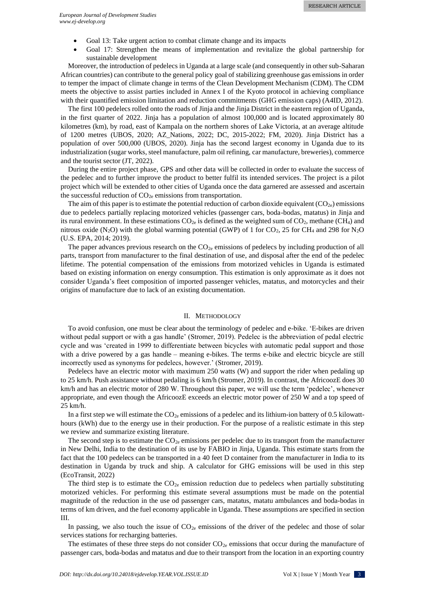- Goal 13: Take urgent action to combat climate change and its impacts
- Goal 17: Strengthen the means of implementation and revitalize the global partnership for sustainable development

Moreover, the introduction of pedelecs in Uganda at a large scale (and consequently in other sub-Saharan African countries) can contribute to the general policy goal of stabilizing greenhouse gas emissions in order to temper the impact of climate change in terms of the Clean Development Mechanism (CDM). The CDM meets the objective to assist parties included in Annex I of the Kyoto protocol in achieving compliance with their quantified emission limitation and reduction commitments (GHG emission caps) (A4ID, 2012).

The first 100 pedelecs rolled onto the roads of Jinja and the Jinja District in the eastern region of Uganda, in the first quarter of 2022. Jinja has a population of almost 100,000 and is located approximately 80 kilometres (km), by road, east of Kampala on the northern shores of Lake Victoria, at an average altitude of 1200 metres (UBOS, 2020; AZ\_Nations, 2022; DC, 2015-2022; FM, 2020). Jinja District has a population of over 500,000 (UBOS, 2020). Jinja has the second largest economy in Uganda due to its industrialization (sugar works, steel manufacture, palm oil refining, car manufacture, breweries), commerce and the tourist sector (JT, 2022).

During the entire project phase, GPS and other data will be collected in order to evaluate the success of the pedelec and to further improve the product to better fulfil its intended services. The project is a pilot project which will be extended to other cities of Uganda once the data garnered are assessed and ascertain the successful reduction of  $CO<sub>2e</sub>$  emissions from transportation.

The aim of this paper is to estimate the potential reduction of carbon dioxide equivalent  $(CO_{2e})$  emissions due to pedelecs partially replacing motorized vehicles (passenger cars, boda-bodas, matatus) in Jinja and its rural environment. In these estimations  $CO_{2e}$  is defined as the weighted sum of  $CO_2$ , methane (CH<sub>4</sub>) and nitrous oxide (N<sub>2</sub>O) with the global warming potential (GWP) of 1 for CO<sub>2</sub>, 25 for CH<sub>4</sub> and 298 for N<sub>2</sub>O (U.S. EPA, 2014; 2019).

The paper advances previous research on the  $CO<sub>2e</sub>$  emissions of pedelecs by including production of all parts, transport from manufacturer to the final destination of use, and disposal after the end of the pedelec lifetime. The potential compensation of the emissions from motorized vehicles in Uganda is estimated based on existing information on energy consumption. This estimation is only approximate as it does not consider Uganda's fleet composition of imported passenger vehicles, matatus, and motorcycles and their origins of manufacture due to lack of an existing documentation.

# II. METHODOLOGY

To avoid confusion, one must be clear about the terminology of pedelec and e-bike. 'E-bikes are driven without pedal support or with a gas handle' (Stromer, 2019). Pedelec is the abbreviation of pedal electric cycle and was 'created in 1999 to differentiate between bicycles with automatic pedal support and those with a drive powered by a gas handle – meaning e-bikes. The terms e-bike and electric bicycle are still incorrectly used as synonyms for pedelecs, however.' (Stromer, 2019).

Pedelecs have an electric motor with maximum 250 watts (W) and support the rider when pedaling up to 25 km/h. Push assistance without pedaling is 6 km/h (Stromer, 2019). In contrast, the AfricoozE does 30 km/h and has an electric motor of 280 W. Throughout this paper, we will use the term 'pedelec', whenever appropriate, and even though the AfricoozE exceeds an electric motor power of 250 W and a top speed of 25 km/h.

In a first step we will estimate the  $CO<sub>2e</sub>$  emissions of a pedelec and its lithium-ion battery of 0.5 kilowatthours (kWh) due to the energy use in their production. For the purpose of a realistic estimate in this step we review and summarize existing literature.

The second step is to estimate the  $CO_{2e}$  emissions per pedelec due to its transport from the manufacturer in New Delhi, India to the destination of its use by FABIO in Jinja, Uganda. This estimate starts from the fact that the 100 pedelecs can be transported in a 40 feet D container from the manufacturer in India to its destination in Uganda by truck and ship. A calculator for GHG emissions will be used in this step (EcoTransit, 2022)

The third step is to estimate the  $CO_{2e}$  emission reduction due to pedelecs when partially substituting motorized vehicles. For performing this estimate several assumptions must be made on the potential magnitude of the reduction in the use od passenger cars, matatus, matatu ambulances and boda-bodas in terms of km driven, and the fuel economy applicable in Uganda. These assumptions are specified in section III.

In passing, we also touch the issue of  $CO<sub>2e</sub>$  emissions of the driver of the pedelec and those of solar services stations for recharging batteries.

The estimates of these three steps do not consider  $CO_{2e}$  emissions that occur during the manufacture of passenger cars, boda-bodas and matatus and due to their transport from the location in an exporting country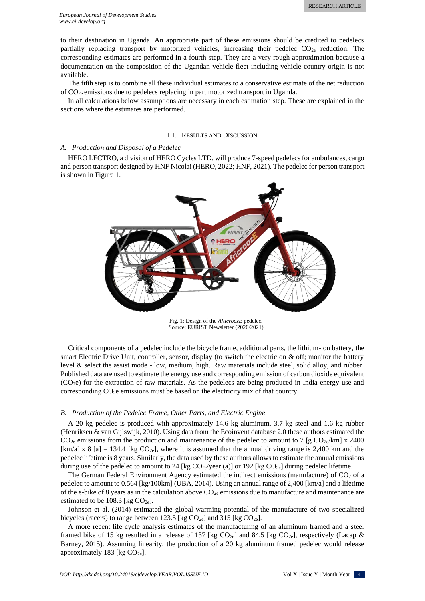to their destination in Uganda. An appropriate part of these emissions should be credited to pedelecs partially replacing transport by motorized vehicles, increasing their pedelec  $CO_{2e}$  reduction. The corresponding estimates are performed in a fourth step. They are a very rough approximation because a documentation on the composition of the Ugandan vehicle fleet including vehicle country origin is not available.

The fifth step is to combine all these individual estimates to a conservative estimate of the net reduction of CO2e emissions due to pedelecs replacing in part motorized transport in Uganda.

In all calculations below assumptions are necessary in each estimation step. These are explained in the sections where the estimates are performed.

### III. RESULTS AND DISCUSSION

### *A. Production and Disposal of a Pedelec*

HERO LECTRO, a division of HERO Cycles LTD, will produce 7-speed pedelecs for ambulances, cargo and person transport designed by HNF Nicolai (HERO, 2022; HNF, 2021). The pedelec for person transport is shown in Figure 1.



Fig. 1: Design of the *AfticroozE* pedelec. Source: EURIST Newsletter (2020/2021)

Critical components of a pedelec include the bicycle frame, additional parts, the lithium-ion battery, the smart Electric Drive Unit, controller, sensor, display (to switch the electric on & off; monitor the battery level & select the assist mode - low, medium, high. Raw materials include steel, solid alloy, and rubber. Published data are used to estimate the energy use and corresponding emission of carbon dioxide equivalent  $(CO<sub>2</sub>e)$  for the extraction of raw materials. As the pedelecs are being produced in India energy use and corresponding  $CO<sub>2</sub>e$  emissions must be based on the electricity mix of that country.

# *B. Production of the Pedelec Frame, Other Parts, and Electric Engine*

A 20 kg pedelec is produced with approximately 14.6 kg aluminum, 3.7 kg steel and 1.6 kg rubber (Henriksen & van Gijlswijk, 2010). Using data from the Ecoinvent database 2.0 these authors estimated the  $CO_{2e}$  emissions from the production and maintenance of the pedelec to amount to 7 [g  $CO_{2e}/km$ ] x 2400  $[km/a]$  x 8 [a] = 134.4 [kg CO<sub>2e</sub>], where it is assumed that the annual driving range is 2,400 km and the pedelec lifetime is 8 years. Similarly, the data used by these authors allows to estimate the annual emissions during use of the pedelec to amount to 24 [kg  $CO_{2e}/year$  (a)] or 192 [kg  $CO_{2e}$ ] during pedelec lifetime.

The German Federal Environment Agency estimated the indirect emissions (manufacture) of CO<sub>2</sub> of a pedelec to amount to 0.564 [kg/100km] (UBA, 2014). Using an annual range of 2,400 [km/a] and a lifetime of the e-bike of 8 years as in the calculation above  $CO<sub>2e</sub>$  emissions due to manufacture and maintenance are estimated to be 108.3 [kg  $CO<sub>2e</sub>$ ].

Johnson et al. (2014) estimated the global warming potential of the manufacture of two specialized bicycles (racers) to range between 123.5 [kg  $CO_{2e}$ ] and 315 [kg  $CO_{2e}$ ].

A more recent life cycle analysis estimates of the manufacturing of an aluminum framed and a steel framed bike of 15 kg resulted in a release of 137 [kg  $CO_{2e}$ ] and 84.5 [kg  $CO_{2e}$ ], respectively (Lacap & Barney, 2015). Assuming linearity, the production of a 20 kg aluminum framed pedelec would release approximately 183 [kg  $CO<sub>2e</sub>$ ].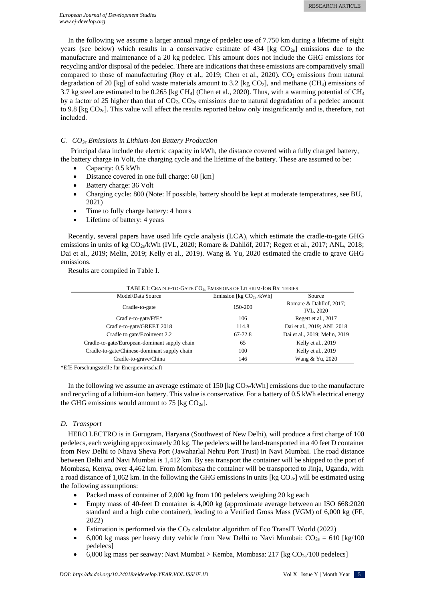In the following we assume a larger annual range of pedelec use of 7.750 km during a lifetime of eight years (see below) which results in a conservative estimate of  $434$  [kg CO<sub>2e</sub>] emissions due to the manufacture and maintenance of a 20 kg pedelec. This amount does not include the GHG emissions for recycling and/or disposal of the pedelec. There are indications that these emissions are comparatively small compared to those of manufacturing (Roy et al., 2019; Chen et al., 2020).  $CO<sub>2</sub>$  emissions from natural degradation of 20 [kg] of solid waste materials amount to 3.2 [kg CO<sub>2</sub>], and methane (CH<sub>4</sub>) emissions of 3.7 kg steel are estimated to be 0.265 [kg CH<sub>4</sub>] (Chen et al., 2020). Thus, with a warming potential of CH<sub>4</sub> by a factor of 25 higher than that of  $CO_2$ ,  $CO_{2e}$  emissions due to natural degradation of a pedelec amount to 9.8 [kg  $CO<sub>2e</sub>$ ]. This value will affect the results reported below only insignificantly and is, therefore, not included.

# *C. CO2e Emissions in Lithium-Ion Battery Production*

Principal data include the electric capacity in kWh, the distance covered with a fully charged battery, the battery charge in Volt, the charging cycle and the lifetime of the battery. These are assumed to be:

- Capacity: 0.5 kWh
- Distance covered in one full charge: 60 [km]
- Battery charge: 36 Volt
- Charging cycle: 800 (Note: If possible, battery should be kept at moderate temperatures, see BU, 2021)
- Time to fully charge battery: 4 hours
- Lifetime of battery: 4 years

Recently, several papers have used life cycle analysis (LCA), which estimate the cradle-to-gate GHG emissions in units of kg CO<sub>2e</sub>/kWh (IVL, 2020; Romare & Dahllöf, 2017; Regett et al., 2017; ANL, 2018; Dai et al., 2019; Melin, 2019; Kelly et al., 2019). Wang & Yu, 2020 estimated the cradle to grave GHG emissions.

Results are compiled in Table I.

| TABLE I: CRADLE-TO-GATE $CO_{2E}$ EMISSIONS OF LITHIUM-ION BATTERIES |         |                                             |  |  |  |  |
|----------------------------------------------------------------------|---------|---------------------------------------------|--|--|--|--|
| Model/Data Source<br>Emission [kg $CO_{2e}$ /kWh]<br>Source          |         |                                             |  |  |  |  |
| Cradle-to-gate                                                       | 150-200 | Romare & Dahllöf, 2017;<br><b>IVL, 2020</b> |  |  |  |  |
| Cradle-to-gate/FfE*                                                  | 106     | Regett et al., 2017                         |  |  |  |  |
| Cradle-to-gate/GREET 2018                                            | 114.8   | Dai et al., 2019; ANL 2018                  |  |  |  |  |
| Cradle to gate/Ecoinvent 2.2                                         | 67-72.8 | Dai et al., 2019; Melin, 2019               |  |  |  |  |
| Cradle-to-gate/European-dominant supply chain                        | 65      | Kelly et al., 2019                          |  |  |  |  |
| Cradle-to-gate/Chinese-dominant supply chain                         | 100     | Kelly et al., 2019                          |  |  |  |  |
| Cradle-to-grave/China                                                | 146     | Wang & Yu, 2020                             |  |  |  |  |
| .                                                                    |         |                                             |  |  |  |  |

\*EfE Forschungsstelle für Energiewirtschaft

In the following we assume an average estimate of 150 [kg  $CO<sub>2e</sub>/kWh$ ] emissions due to the manufacture and recycling of a lithium-ion battery. This value is conservative. For a battery of 0.5 kWh electrical energy the GHG emissions would amount to 75 [kg  $CO<sub>2e</sub>$ ].

# *D. Transport*

HERO LECTRO is in Gurugram, Haryana (Southwest of New Delhi), will produce a first charge of 100 pedelecs, each weighing approximately 20 kg. The pedelecs will be land-transported in a 40 feet D container from New Delhi to Nhava Sheva Port (Jawaharlal Nehru Port Trust) in Navi Mumbai. The road distance between Delhi and Navi Mumbai is 1,412 km. By sea transport the container will be shipped to the port of Mombasa, Kenya, over 4,462 km. From Mombasa the container will be transported to Jinja, Uganda, with a road distance of 1,062 km. In the following the GHG emissions in units  $\text{[kg CO}_{2e}\text{]}$  will be estimated using the following assumptions:

- Packed mass of container of 2,000 kg from 100 pedelecs weighing 20 kg each
- Empty mass of 40-feet D container is 4,000 kg (approximate average between an ISO 668:2020 standard and a high cube container), leading to a Verified Gross Mass (VGM) of 6,000 kg (FF, 2022)
- Estimation is performed via the  $CO<sub>2</sub>$  calculator algorithm of Eco TransIT World (2022)
- 6,000 kg mass per heavy duty vehicle from New Delhi to Navi Mumbai:  $CO_{2e} = 610$  [kg/100 pedelecs]
- 6,000 kg mass per seaway: Navi Mumbai > Kemba, Mombasa: 217 [kg  $CO<sub>2e</sub>/100$  pedelecs]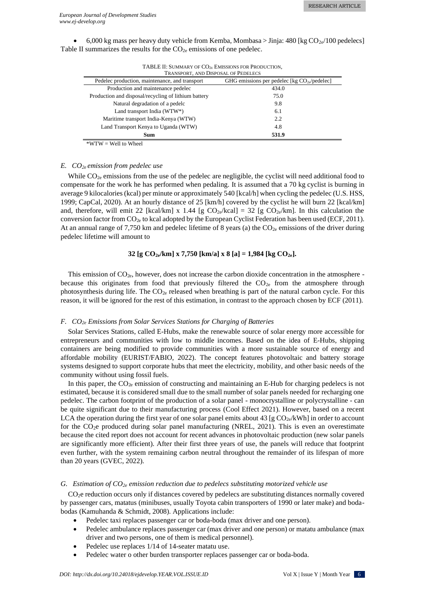6,000 kg mass per heavy duty vehicle from Kemba, Mombasa > Jinja: 480 [kg  $CO<sub>2e</sub>/100$  pedelecs] Table II summarizes the results for the  $CO_{2e}$  emissions of one pedelec.

| TRANSPORT, AND DISPOSAL OF PEDELECS                  |                                                   |  |  |  |
|------------------------------------------------------|---------------------------------------------------|--|--|--|
| Pedelec production, maintenance, and transport       | GHG emissions per pedelec [kg $CO_{2e}/$ pedelec] |  |  |  |
| Production and maintenance pedelec                   | 434.0                                             |  |  |  |
| Production and disposal/recycling of lithium battery | 75.0                                              |  |  |  |
| Natural degradation of a pedelc                      | 9.8                                               |  |  |  |
| Land transport India (WTW*)                          | 6.1                                               |  |  |  |
| Maritime transport India-Kenya (WTW)                 | 2.2                                               |  |  |  |
| Land Transport Kenya to Uganda (WTW)                 | 4.8                                               |  |  |  |
| 531.9<br><b>Sum</b>                                  |                                                   |  |  |  |
|                                                      |                                                   |  |  |  |

TABLE II: SUMMARY OF CO<sub>2E</sub> EMISSIONS FOR PRODUCTION.

 $*WTW = Well to Wheeler$ 

# *E. CO2e emission from pedelec use*

While  $CO_{2e}$  emissions from the use of the pedelec are negligible, the cyclist will need additional food to compensate for the work he has performed when pedaling. It is assumed that a 70 kg cyclist is burning in average 9 kilocalories (kcal) per minute or approximately 540 [kcal/h] when cycling the pedelec (U.S. HSS, 1999; CapCal, 2020). At an hourly distance of 25 [km/h] covered by the cyclist he will burn 22 [kcal/km] and, therefore, will emit 22 [kcal/km] x 1.44 [g  $CO_{2e}/kcal$ ] = 32 [g  $CO_{2e}/km$ ]. In this calculation the conversion factor from  $CO_{2e}$  to kcal adopted by the European Cyclist Federation has been used (ECF, 2011). At an annual range of 7,750 km and pedelec lifetime of 8 years (a) the  $CO<sub>2e</sub>$  emissions of the driver during pedelec lifetime will amount to

# **32 [g CO2e/km] x 7,750 [km/a] x 8 [a] = 1,984 [kg CO2e].**

This emission of  $CO_{2e}$ , however, does not increase the carbon dioxide concentration in the atmosphere because this originates from food that previously filtered the  $CO<sub>2e</sub>$  from the atmosphere through photosynthesis during life. The  $CO_{2e}$  released when breathing is part of the natural carbon cycle. For this reason, it will be ignored for the rest of this estimation, in contrast to the approach chosen by ECF (2011).

# *F. CO2e Emissions from Solar Services Stations for Charging of Batteries*

Solar Services Stations, called E-Hubs, make the renewable source of solar energy more accessible for entrepreneurs and communities with low to middle incomes. Based on the idea of E-Hubs, shipping containers are being modified to provide communities with a more sustainable source of energy and affordable mobility (EURIST/FABIO, 2022). The concept features photovoltaic and battery storage systems designed to support corporate hubs that meet the electricity, mobility, and other basic needs of the community without using fossil fuels.

In this paper, the  $CO_{2e}$  emission of constructing and maintaining an E-Hub for charging pedelecs is not estimated, because it is considered small due to the small number of solar panels needed for recharging one pedelec. The carbon footprint of the production of a solar panel - monocrystalline or polycrystalline - can be quite significant due to their manufacturing process (Cool Effect 2021). However, based on a recent LCA the operation during the first year of one solar panel emits about 43 [g  $CO<sub>2e</sub>/kWh$ ] in order to account for the CO<sub>2</sub>e produced during solar panel manufacturing (NREL, 2021). This is even an overestimate because the cited report does not account for recent advances in photovoltaic production (new solar panels are significantly more efficient). After their first three years of use, the panels will reduce that footprint even further, with the system remaining carbon neutral throughout the remainder of its lifespan of more than 20 years (GVEC, 2022).

# *G. Estimation of CO2e emission reduction due to pedelecs substituting motorized vehicle use*

CO2e reduction occurs only if distances covered by pedelecs are substituting distances normally covered by passenger cars, matatus (minibuses, usually Toyota cabin transporters of 1990 or later make) and bodabodas (Kamuhanda & Schmidt, 2008). Applications include:

- Pedelec taxi replaces passenger car or boda-boda (max driver and one person).
- Pedelec ambulance replaces passenger car (max driver and one person) or matatu ambulance (max driver and two persons, one of them is medical personnel).
- Pedelec use replaces 1/14 of 14-seater matatu use.
- Pedelec water o other burden transporter replaces passenger car or boda-boda.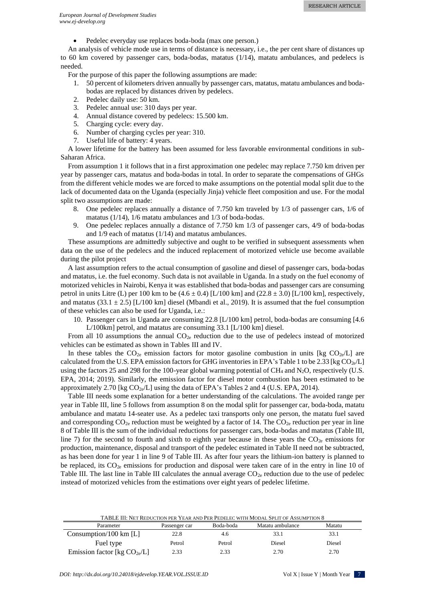• Pedelec everyday use replaces boda-boda (max one person.)

An analysis of vehicle mode use in terms of distance is necessary, i.e., the per cent share of distances up to 60 km covered by passenger cars, boda-bodas, matatus (1/14), matatu ambulances, and pedelecs is needed.

For the purpose of this paper the following assumptions are made:

- 1. 50 percent of kilometers driven annually by passenger cars, matatus, matatu ambulances and bodabodas are replaced by distances driven by pedelecs.
- 2. Pedelec daily use: 50 km.
- 3. Pedelec annual use: 310 days per year.
- 4. Annual distance covered by pedelecs: 15.500 km.
- 5. Charging cycle: every day.
- 6. Number of charging cycles per year: 310.
- 7. Useful life of battery: 4 years.

A lower lifetime for the battery has been assumed for less favorable environmental conditions in sub-Saharan Africa.

From assumption 1 it follows that in a first approximation one pedelec may replace 7.750 km driven per year by passenger cars, matatus and boda-bodas in total. In order to separate the compensations of GHGs from the different vehicle modes we are forced to make assumptions on the potential modal split due to the lack of documented data on the Uganda (especially Jinja) vehicle fleet composition and use. For the modal split two assumptions are made:

- 8. One pedelec replaces annually a distance of 7.750 km traveled by 1/3 of passenger cars, 1/6 of matatus (1/14), 1/6 matatu ambulances and 1/3 of boda-bodas.
- 9. One pedelec replaces annually a distance of 7.750 km 1/3 of passenger cars, 4/9 of boda-bodas and 1/9 each of matatus (1/14) and matatus ambulances.

These assumptions are admittedly subjective and ought to be verified in subsequent assessments when data on the use of the pedelecs and the induced replacement of motorized vehicle use become available during the pilot project

A last assumption refers to the actual consumption of gasoline and diesel of passenger cars, boda-bodas and matatus, i.e. the fuel economy. Such data is not available in Uganda. In a study on the fuel economy of motorized vehicles in Nairobi, Kenya it was established that boda-bodas and passenger cars are consuming petrol in units Litre (L) per 100 km to be  $(4.6 \pm 0.4)$  [L/100 km] and (22.8  $\pm$  3.0) [L/100 km], respectively, and matatus (33.1  $\pm$  2.5) [L/100 km] diesel (Mbandi et al., 2019). It is assumed that the fuel consumption of these vehicles can also be used for Uganda, i.e.:

10. Passenger cars in Uganda are consuming 22.8 [L/100 km] petrol, boda-bodas are consuming [4.6 L/100km] petrol, and matatus are consuming 33.1 [L/100 km] diesel.

From all 10 assumptions the annual  $CO_{2e}$  reduction due to the use of pedelecs instead of motorized vehicles can be estimated as shown in Tables III and IV.

In these tables the  $CO_{2e}$  emission factors for motor gasoline combustion in units [kg  $CO_{2e}/L$ ] are calculated from the U.S. EPA emission factors for GHG inventories in EPA's Table 1 to be 2.33 [kg  $CO_{2e}/L$ ] using the factors 25 and 298 for the 100-year global warming potential of  $CH_4$  and  $N_2O$ , respectively (U.S. EPA, 2014; 2019). Similarly, the emission factor for diesel motor combustion has been estimated to be approximately 2.70 [kg  $CO<sub>2e</sub>/L$ ] using the data of EPA's Tables 2 and 4 (U.S. EPA, 2014).

Table III needs some explanation for a better understanding of the calculations. The avoided range per year in Table III, line 5 follows from assumption 8 on the modal split for passenger car, boda-boda, matatu ambulance and matatu 14-seater use. As a pedelec taxi transports only one person, the matatu fuel saved and corresponding  $CO_{2e}$  reduction must be weighted by a factor of 14. The  $CO_{2e}$  reduction per year in line 8 of Table III is the sum of the individual reductions for passenger cars, boda-bodas and matatus (Table III, line 7) for the second to fourth and sixth to eighth year because in these years the  $CO_{2e}$  emissions for production, maintenance, disposal and transport of the pedelec estimated in Table II need not be subtracted, as has been done for year 1 in line 9 of Table III. As after four years the lithium-ion battery is planned to be replaced, its CO<sub>2e</sub> emissions for production and disposal were taken care of in the entry in line 10 of Table III. The last line in Table III calculates the annual average  $CO_{2e}$  reduction due to the use of pedelec instead of motorized vehicles from the estimations over eight years of pedelec lifetime.

TABLE III: NET REDUCTION PER YEAR AND PER PEDELEC WITH MODAL SPLIT OF ASSUMPTION 8

| Parameter                         | Passenger car | Boda-boda | Matatu ambulance | Matatu |
|-----------------------------------|---------------|-----------|------------------|--------|
| Consumption/100 km $[L]$          | 22.8          | 4.6       | 33.1             | 33.1   |
| Fuel type                         | Petrol        | Petrol    | Diesel           | Diesel |
| Emission factor [kg $CO_{2e}/L$ ] | 2.33          | 2.33      | 2.70             | 2.70   |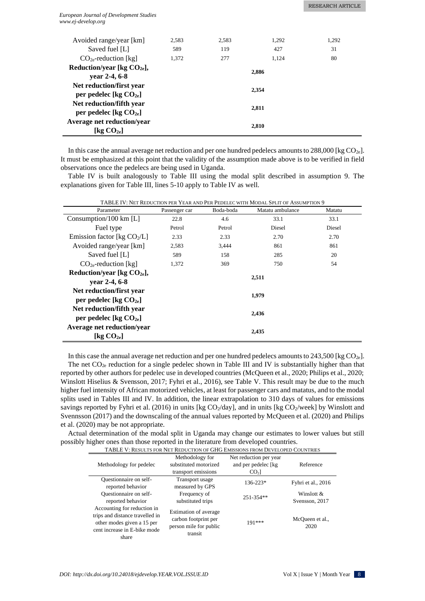#### *European Journal of Development Studies www.ej-develop.org*

| Avoided range/year [km]                                       | 2.583 | 2.583 | 1.292 | 1.292 |
|---------------------------------------------------------------|-------|-------|-------|-------|
| Saved fuel [L]                                                | 589   | 119   | 427   | 31    |
| $CO2e$ -reduction [kg]                                        | 1.372 | 277   | 1.124 | 80    |
| Reduction/year [kg $CO2e$ ],<br>year 2-4, 6-8                 |       |       | 2.886 |       |
| Net reduction/first year<br>per pedelec [kg $CO2e$ ]          |       |       | 2.354 |       |
| Net reduction/fifth year<br>per pedelec [kg $CO2e$ ]          |       |       | 2.811 |       |
| Average net reduction/year<br>[ $k_{\mathcal{Q}}$ $CO_{2e}$ ] |       |       | 2,810 |       |

In this case the annual average net reduction and per one hundred pedelecs amounts to  $288,000$  [kg  $CO_{2e}$ ]. It must be emphasized at this point that the validity of the assumption made above is to be verified in field observations once the pedelecs are being used in Uganda.

Table IV is built analogously to Table III using the modal split described in assumption 9. The explanations given for Table III, lines 5-10 apply to Table IV as well.

TABLE IV: NET REDUCTION PER YEAR AND PER PEDELEC WITH MODAL SPLIT OF ASSUMPTION 9

| Parameter                                                         | Passenger car | Boda-boda | Matatu ambulance | Matatu |
|-------------------------------------------------------------------|---------------|-----------|------------------|--------|
| Consumption/100 km $[L]$                                          | 22.8          | 4.6       | 33.1             | 33.1   |
| Fuel type                                                         | Petrol        | Petrol    | Diesel           | Diesel |
| Emission factor [kg $CO2/L$ ]                                     | 2.33          | 2.33      | 2.70             | 2.70   |
| Avoided range/year [km]                                           | 2,583         | 3,444     | 861              | 861    |
| Saved fuel [L]                                                    | 589           | 158       | 285              | 20     |
| $CO_{2e}$ -reduction [kg]                                         | 1,372         | 369       | 750              | 54     |
| Reduction/year [kg $CO2e$ ],<br>vear $2-4, 6-8$                   |               |           | 2,511            |        |
| Net reduction/first year<br>per pedelec [kg $CO2e$ ]              |               |           | 1,979            |        |
| Net reduction/fifth year<br>per pedelec [kg $CO2e$ ]              |               |           | 2,436            |        |
| <b>Average net reduction/year</b><br>$\lceil \log CO_{2e} \rceil$ |               |           | 2,435            |        |

In this case the annual average net reduction and per one hundred pedelecs amounts to 243,500 [kg  $CO_{2e}$ ]. The net  $CO_{2e}$  reduction for a single pedelec shown in Table III and IV is substantially higher than that reported by other authors for pedelec use in developed countries (McQueen et al., 2020; Philips et al., 2020; Winslott Hiselius & Svensson, 2017; Fyhri et al., 2016), see Table V. This result may be due to the much higher fuel intensity of African motorized vehicles, at least for passenger cars and matatus, and to the modal splits used in Tables III and IV. In addition, the linear extrapolation to 310 days of values for emissions savings reported by Fyhri et al. (2016) in units [kg  $CO_2$ /day], and in units [kg  $CO_2$ /week] by Winslott and Svennsson (2017) and the downscaling of the annual values reported by McQueen et al. (2020) and Philips et al. (2020) may be not appropriate.

Actual determination of the modal split in Uganda may change our estimates to lower values but still possibly higher ones than those reported in the literature from developed countries.

| TABLE V: RESULTS FOR NET REDUCTION OF GHG EMISSIONS FROM DEVELOPED COUNTRIES                                                          |                                                                                    |                        |                         |  |  |  |
|---------------------------------------------------------------------------------------------------------------------------------------|------------------------------------------------------------------------------------|------------------------|-------------------------|--|--|--|
|                                                                                                                                       | Methodology for                                                                    | Net reduction per year |                         |  |  |  |
| Methodology for pedelec                                                                                                               | substituted motorized                                                              | and per pedelec [kg]   | Reference               |  |  |  |
|                                                                                                                                       | transport emissions                                                                | CO <sub>2</sub>        |                         |  |  |  |
| Ouestionnaire on self-                                                                                                                | Transport usage                                                                    | $136 - 223*$           | Fyhri et al., 2016      |  |  |  |
| reported behavior                                                                                                                     | measured by GPS                                                                    |                        |                         |  |  |  |
| Questionnaire on self-                                                                                                                | Frequency of                                                                       | 251-354**              | Winslott $\&$           |  |  |  |
| reported behavior                                                                                                                     | substituted trips                                                                  |                        | Svensson, 2017          |  |  |  |
| Accounting for reduction in<br>trips and distance travelled in<br>other modes given a 15 per<br>cent increase in E-bike mode<br>share | Estimation of average<br>carbon footprint per<br>person mile for public<br>transit | 191***                 | McQueen et al.,<br>2020 |  |  |  |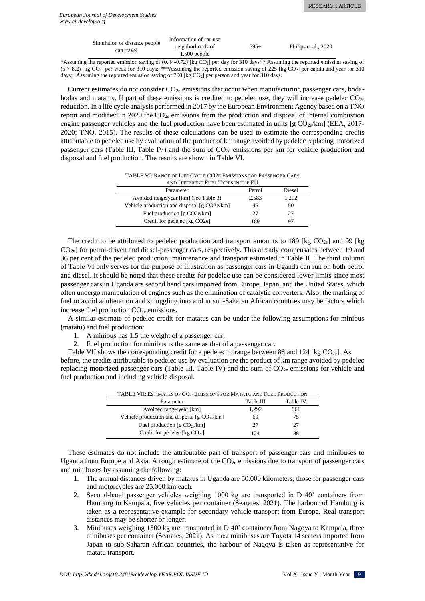| Simulation of distance people | Information of car use |        |                      |  |
|-------------------------------|------------------------|--------|----------------------|--|
| can travel                    | neighborhoods of       | $595+$ | Philips et al., 2020 |  |
|                               | $1.500$ people         |        |                      |  |

\*Assuming the reported emission saving of (0.44-0.72) [kg CO2] per day for 310 days\*\* Assuming the reported emission saving of  $(5.7-8.2)$  [kg CO<sub>2</sub>] per week for 310 days; \*\*\*Assuming the reported emission saving of 225 [kg CO<sub>2</sub>] per capita and year for 310 days;  $\pm$ Assuming the reported emission saving of 700 [kg CO<sub>2</sub>] per person and year for 310 days.

Current estimates do not consider  $CO<sub>2e</sub>$  emissions that occur when manufacturing passenger cars, bodabodas and matatus. If part of these emissions is credited to pedelec use, they will increase pedelec  $CO_{2e}$ reduction. In a life cycle analysis performed in 2017 by the European Environment Agency based on a TNO report and modified in 2020 the  $CO<sub>2e</sub>$  emissions from the production and disposal of internal combustion engine passenger vehicles and the fuel production have been estimated in units [g  $CO<sub>2e</sub>/km$ ] (EEA, 2017-2020; TNO, 2015). The results of these calculations can be used to estimate the corresponding credits attributable to pedelec use by evaluation of the product of km range avoided by pedelec replacing motorized passenger cars (Table III, Table IV) and the sum of  $CO<sub>2e</sub>$  emissions per km for vehicle production and disposal and fuel production. The results are shown in Table VI.

TABLE VI: RANGE OF LIFE CYCLE CO2E EMISSIONS FOR PASSENGER CARS

| AND DIFFERENT FUEL TYPES IN THE EU          |        |               |  |  |  |
|---------------------------------------------|--------|---------------|--|--|--|
| Parameter                                   | Petrol | <b>Diesel</b> |  |  |  |
| Avoided range/year [km] (see Table 3)       | 2,583  | 1,292         |  |  |  |
| Vehicle production and disposal [g CO2e/km] | 46     | 50            |  |  |  |
| Fuel production [g CO2e/km]                 | 27     | 27            |  |  |  |
| Credit for pedelec [kg CO2e]                | 189    | 97            |  |  |  |

The credit to be attributed to pedelec production and transport amounts to 189 [kg  $CO_{2e}$ ] and 99 [kg  $CO<sub>2e</sub>$  for petrol-driven and diesel-passenger cars, respectively. This already compensates between 19 and 36 per cent of the pedelec production, maintenance and transport estimated in Table II. The third column of Table VI only serves for the purpose of illustration as passenger cars in Uganda can run on both petrol and diesel. It should be noted that these credits for pedelec use can be considered lower limits since most passenger cars in Uganda are second hand cars imported from Europe, Japan, and the United States, which often undergo manipulation of engines such as the elimination of catalytic converters. Also, the marking of fuel to avoid adulteration and smuggling into and in sub-Saharan African countries may be factors which increase fuel production  $CO<sub>2e</sub>$  emissions.

A similar estimate of pedelec credit for matatus can be under the following assumptions for minibus (matatu) and fuel production:

- 1. A minibus has 1.5 the weight of a passenger car.
- 2. Fuel production for minibus is the same as that of a passenger car.

Table VII shows the corresponding credit for a pedelec to range between 88 and 124 [kg  $CO_{2e}$ ]. As

before, the credits attributable to pedelec use by evaluation are the product of km range avoided by pedelec replacing motorized passenger cars (Table III, Table IV) and the sum of  $CO_{2e}$  emissions for vehicle and fuel production and including vehicle disposal.

| TABLE VII: ESTIMATES OF CO <sub>2E</sub> EMISSIONS FOR MATATU AND FUEL PRODUCTION |       |     |  |  |  |
|-----------------------------------------------------------------------------------|-------|-----|--|--|--|
| Table III<br><b>Table IV</b><br>Parameter                                         |       |     |  |  |  |
| Avoided range/year [km]                                                           | 1.292 | 861 |  |  |  |
| Vehicle production and disposal [g $CO2e/km$ ]                                    | 69    | 75  |  |  |  |
| Fuel production [g $CO2e/km$ ]                                                    | 27    | 27  |  |  |  |
| Credit for pedelec [kg $CO_{2e}$ ]                                                | 124   | 88  |  |  |  |

These estimates do not include the attributable part of transport of passenger cars and minibuses to Uganda from Europe and Asia. A rough estimate of the  $CO<sub>2e</sub>$  emissions due to transport of passenger cars and minibuses by assuming the following:

- 1. The annual distances driven by matatus in Uganda are 50.000 kilometers; those for passenger cars and motorcycles are 25.000 km each.
- 2. Second-hand passenger vehicles weighing 1000 kg are transported in D 40' containers from Hamburg to Kampala, five vehicles per container (Searates, 2021). The harbour of Hamburg is taken as a representative example for secondary vehicle transport from Europe. Real transport distances may be shorter or longer.
- 3. Minibuses weighing 1500 kg are transported in D 40' containers from Nagoya to Kampala, three minibuses per container (Searates, 2021). As most minibuses are Toyota 14 seaters imported from Japan to sub-Saharan African countries, the harbour of Nagoya is taken as representative for matatu transport.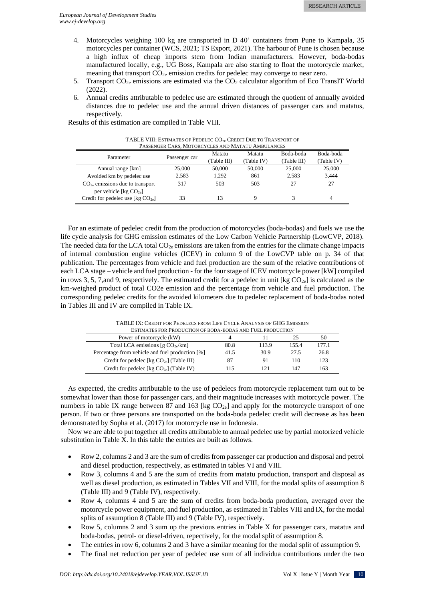- 4. Motorcycles weighing 100 kg are transported in D 40' containers from Pune to Kampala, 35 motorcycles per container (WCS, 2021; TS Export, 2021). The harbour of Pune is chosen because a high influx of cheap imports stem from Indian manufacturers. However, boda-bodas manufactured locally, e.g., UG Boss, Kampala are also starting to float the motorcycle market, meaning that transport  $CO_{2e}$  emission credits for pedelec may converge to near zero.
- 5. Transport  $CO_{2e}$  emissions are estimated via the  $CO_2$  calculator algorithm of Eco TransIT World (2022).
- 6. Annual credits attributable to pedelec use are estimated through the quotient of annually avoided distances due to pedelec use and the annual driven distances of passenger cars and matatus, respectively.

Results of this estimation are compiled in Table VIII.

| PASSENGER CARS, MOTORCYCLES AND MATATU AMBULANCES             |               |                       |                      |                          |                         |  |
|---------------------------------------------------------------|---------------|-----------------------|----------------------|--------------------------|-------------------------|--|
| Parameter                                                     | Passenger car | Matatu<br>(Table III) | Matatu<br>(Table IV) | Boda-boda<br>(Table III) | Boda-boda<br>(Table IV) |  |
| Annual range [km]                                             | 25,000        | 50,000                | 50,000               | 25,000                   | 25,000                  |  |
| Avoided km by pedelec use                                     | 2.583         | 1.292                 | 861                  | 2.583                    | 3.444                   |  |
| $CO2e$ emissions due to transport<br>per vehicle [kg $CO2e$ ] | 317           | 503                   | 503                  | 27                       | 27                      |  |
| Credit for pedelec use $[\text{kg CO}_{2e}]$                  | 33            | 13                    |                      | 3                        | 4                       |  |

TABLE VIII: ESTIMATES OF PEDELEC CO<sub>2E</sub> CREDIT DUE TO TRANSPORT OF PASSENGER CARS, MOTORCYCLES AND MATATU AMBULANCES

For an estimate of pedelec credit from the production of motorcycles (boda-bodas) and fuels we use the life cycle analysis for GHG emission estimates of the Low Carbon Vehicle Partnership (LowCVP, 2018). The needed data for the LCA total  $CO<sub>2e</sub>$  emissions are taken from the entries for the climate change impacts of internal combustion engine vehicles (ICEV) in column 9 of the LowCVP table on p. 34 of that publication. The percentages from vehicle and fuel production are the sum of the relative contributions of each LCA stage – vehicle and fuel production - for the four stage of ICEV motorcycle power [kW] compiled in rows 3, 5, 7, and 9, respectively. The estimated credit for a pedelec in unit [kg  $CO<sub>2e</sub>$ ] is calculated as the km-weighed product of total CO2e emission and the percentage from vehicle and fuel production. The corresponding pedelec credits for the avoided kilometers due to pedelec replacement of boda-bodas noted in Tables III and IV are compiled in Table IX.

| ESTIMATES FOR PRODUCTION OF BODA-BODAS AND FUEL PRODUCTION |      |       |       |       |  |
|------------------------------------------------------------|------|-------|-------|-------|--|
| Power of motorcycle (kW)                                   |      |       | 25    | 50    |  |
| Total LCA emissions [g $CO_{2e}/km$ ]                      | 80.8 | 113.9 | 155.4 | 177.1 |  |
| Percentage from vehicle and fuel production [%]            | 41.5 | 30.9  | 27.5  | 26.8  |  |
| Credit for pedelec [kg $CO2e$ ] (Table III)                | 87   | 91    | 110   | 123   |  |
| Credit for pedelec [kg $CO2e$ ] (Table IV)                 | 115  |       | 147   | 163   |  |

TABLE IX: CREDIT FOR PEDELECS FROM LIFE CYCLE ANALYSIS OF GHG EMISSION

As expected, the credits attributable to the use of pedelecs from motorcycle replacement turn out to be somewhat lower than those for passenger cars, and their magnitude increases with motorcycle power. The numbers in table IX range between 87 and 163 [kg  $CO_{2e}$ ] and apply for the motorcycle transport of one person. If two or three persons are transported on the boda-boda pedelec credit will decrease as has been demonstrated by Sopha et al. (2017) for motorcycle use in Indonesia.

Now we are able to put together all credits attributable to annual pedelec use by partial motorized vehicle substitution in Table X. In this table the entries are built as follows.

- Row 2, columns 2 and 3 are the sum of credits from passenger car production and disposal and petrol and diesel production, respectively, as estimated in tables VI and VIII.
- Row 3, columns 4 and 5 are the sum of credits from matatu production, transport and disposal as well as diesel production, as estimated in Tables VII and VIII, for the modal splits of assumption 8 (Table III) and 9 (Table IV), respectively.
- Row 4, columns 4 and 5 are the sum of credits from boda-boda production, averaged over the motorcycle power equipment, and fuel production, as estimated in Tables VIII and IX, for the modal splits of assumption 8 (Table III) and 9 (Table IV), respectively.
- Row 5, columns 2 and 3 sum up the previous entries in Table X for passenger cars, matatus and boda-bodas, petrol- or diesel-driven, repectively, for the modal split of assumption 8.
- The entries in row 6, columns 2 and 3 have a similar meaning for the modal split of assumption 9.
- The final net reduction per year of pedelec use sum of all individua contributions under the two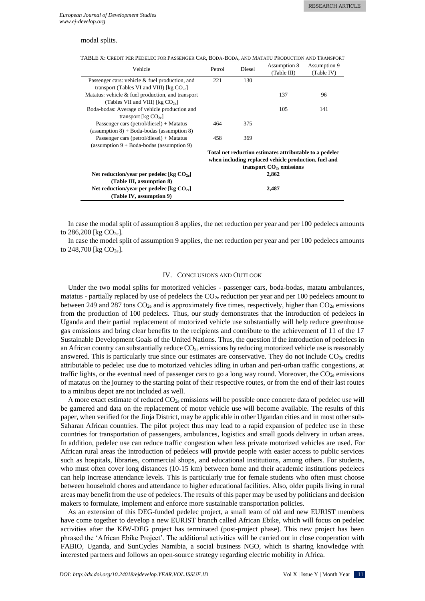# modal splits.

| Vehicle                                                                     | Petrol                                                                                                          | Diesel | Assumption 8<br>(Table III) | Assumption 9<br>(Table IV) |  |
|-----------------------------------------------------------------------------|-----------------------------------------------------------------------------------------------------------------|--------|-----------------------------|----------------------------|--|
| Passenger cars: vehicle & fuel production, and                              | 221                                                                                                             | 130    |                             |                            |  |
| transport (Tables VI and VIII) [kg $CO_{2e}$ ]                              |                                                                                                                 |        |                             |                            |  |
| Matatus: vehicle & fuel production, and transport                           |                                                                                                                 |        | 137                         | 96                         |  |
| (Tables VII and VIII) [kg $CO_{2e}$ ]                                       |                                                                                                                 |        |                             |                            |  |
| Boda-bodas: Average of vehicle production and                               |                                                                                                                 |        | 105                         | 141                        |  |
| transport [ $kg CO_{2e}$ ]                                                  |                                                                                                                 |        |                             |                            |  |
| Passenger cars (petrol/diesel) + Matatus                                    | 464                                                                                                             | 375    |                             |                            |  |
| $(assumption 8) + Boda-bodas (assumption 8)$                                |                                                                                                                 |        |                             |                            |  |
| Passenger cars (petrol/diesel) + Matatus                                    | 458                                                                                                             | 369    |                             |                            |  |
| (assumption $9 + \text{Boda-bodas}$ (assumption 9)                          |                                                                                                                 |        |                             |                            |  |
|                                                                             | Total net reduction estimates attributable to a pedelec<br>when including replaced vehicle production, fuel and |        |                             |                            |  |
|                                                                             |                                                                                                                 |        | transport $CO2e$ emissions  |                            |  |
| Net reduction/year per pedelec [kg $CO_{2e}$ ]<br>(Table III, assumption 8) |                                                                                                                 |        | 2,862                       |                            |  |
| Net reduction/year per pedelec [kg $CO_{2e}$ ]<br>(Table IV, assumption 9)  |                                                                                                                 |        | 2,487                       |                            |  |

In case the modal split of assumption 8 applies, the net reduction per year and per 100 pedelecs amounts to  $286,200$  [kg  $CO_{2e}$ ].

In case the model split of assumption 9 applies, the net reduction per year and per 100 pedelecs amounts to  $248,700$  [kg  $CO_{2e}$ ].

#### IV. CONCLUSIONS AND OUTLOOK

Under the two modal splits for motorized vehicles - passenger cars, boda-bodas, matatu ambulances, matatus - partially replaced by use of pedelecs the  $CO<sub>2e</sub>$  reduction per year and per 100 pedelecs amount to between 249 and 287 tons  $CO_{2e}$  and is approximately five times, respectively, higher than  $CO_{2e}$  emissions from the production of 100 pedelecs. Thus, our study demonstrates that the introduction of pedelecs in Uganda and their partial replacement of motorized vehicle use substantially will help reduce greenhouse gas emissions and bring clear benefits to the recipients and contribute to the achievement of 11 of the 17 Sustainable Development Goals of the United Nations. Thus, the question if the introduction of pedelecs in an African country can substantially reduce  $CO_{2e}$  emissions by reducing motorized vehicle use is reasonably answered. This is particularly true since our estimates are conservative. They do not include  $CO<sub>2e</sub>$  credits attributable to pedelec use due to motorized vehicles idling in urban and peri-urban traffic congestions, at traffic lights, or the eventual need of passenger cars to go a long way round. Moreover, the  $CO<sub>2e</sub>$  emissions of matatus on the journey to the starting point of their respective routes, or from the end of their last routes to a minibus depot are not included as well.

A more exact estimate of reduced  $CO<sub>2e</sub>$  emissions will be possible once concrete data of pedelec use will be garnered and data on the replacement of motor vehicle use will become available. The results of this paper, when verified for the Jinja District, may be applicable in other Ugandan cities and in most other sub-Saharan African countries. The pilot project thus may lead to a rapid expansion of pedelec use in these countries for transportation of passengers, ambulances, logistics and small goods delivery in urban areas. In addition, pedelec use can reduce traffic congestion when less private motorized vehicles are used. For African rural areas the introduction of pedelecs will provide people with easier access to public services such as hospitals, libraries, commercial shops, and educational institutions, among others. For students, who must often cover long distances (10-15 km) between home and their academic institutions pedelecs can help increase attendance levels. This is particularly true for female students who often must choose between household chores and attendance to higher educational facilities. Also, older pupils living in rural areas may benefit from the use of pedelecs. The results of this paper may be used by politicians and decision makers to formulate, implement and enforce more sustainable transportation policies.

As an extension of this DEG-funded pedelec project, a small team of old and new EURIST members have come together to develop a new EURIST branch called African Ebike, which will focus on pedelec activities after the KfW-DEG project has terminated (post-project phase). This new project has been phrased the 'African Ebike Project'. The additional activities will be carried out in close cooperation with FABIO, Uganda, and SunCycles Namibia, a social business NGO, which is sharing knowledge with interested partners and follows an open-source strategy regarding electric mobility in Africa.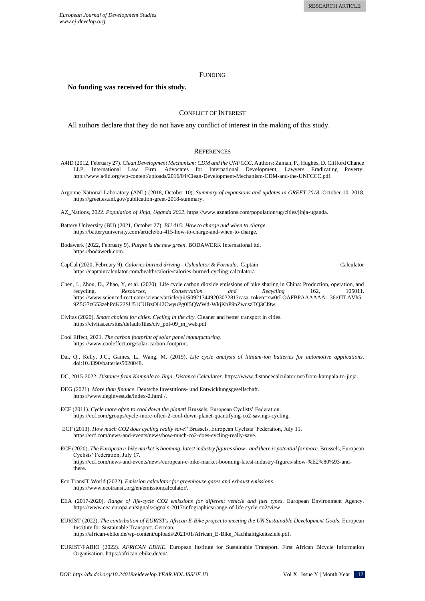## **FUNDING**

#### **No funding was received for this study.**

## CONFLICT OF INTEREST

All authors declare that they do not have any conflict of interest in the making of this study.

### **REFERENCES**

- A4ID (2012, February 27). *Clean Development Mechanism: CDM and the UNFCCC*. Authors: Zaman, P., Hughes, D. Clifford Chance LLP, International Law Firm. Advocates for International Development, Lawyers Eradicating Poverty. [http://www.a4id.org/wp-content/uploads/2016/04/Clean-Development-Mechanism-CDM-and-the-UNFCCC.pdf.](http://www.a4id.org/wp-content/uploads/2016/04/Clean-Development-Mechanism-CDM-and-the-UNFCCC.pdf)
- Argonne National Laboratory (ANL) (2018, October 10). *Summary of expansions and updates in GREET 2018*. October 10, 2018. [https://greet.es.anl.gov/publication-greet-2018-summary.](https://greet.es.anl.gov/publication-greet-2018-summary)
- AZ\_Nations, 2022. *Population of Jinja, Uganda 2022.* https://www.aznations.com/population/ug/cities/jinja-uganda.
- Battery University (BU) (2021, October 27). *BU 415: How to charge and when to charge*. https://batteryuniversity.com/article/bu-415-how-to-charge-and-when-to-charge.
- Bodawerk (2022, February 9). *Purple is the new green*. BODAWERK International ltd. [https://bodawerk.com.](https://bodawerk.com/)
- CapCal (2020, February 9). *Calories burned driving - Calculator & Formula.* Captain Calculator https://captaincalculator.com/health/calorie/calories-burned-cycling-calculator/.
- Chen, J., Zhou, D., Zhao, Y, et al. (2020). Life cycle carbon dioxide emissions of bike sharing in China: Production, operation, and recycling. *Resources, Conservation and Recycling* 162, 105011. https://www.sciencedirect.com/science/article/pii/S0921344920303281?casa\_token=xw0rLOAFBPAAAAAA:\_36eJTLAVh5 9Z5G7zG53zehPdK22SU51CUBzOI42CwyuPg0I5QWWd-WkjKhP9nZwqszTQ3Cl9w.
- Civitas (2020). *Smart choices for cities. Cycling in the city.* Cleaner and better transport in cities. https://civitas.eu/sites/default/files/civ\_pol-09\_m\_web.pdf
- Cool Effect, 2021. *The carbon footprint of solar panel manufacturing.* https://www.cooleffect.org/solar-carbon-footprint.
- Dai, Q., Kelly, J.C., Gaines, L., Wang, M. (2019). *Life cycle analysis of lithium-ion batteries for automotive applications*. doi:10.3390/batteries5020048.
- DC, 2015-2022. *Distance from Kampala to Jinja. Distance Calculator.* https://www.distancecalculator.net/from-kampala-to-jinja.
- DEG (2021). *More than finance*. Deutsche Investitions- und Entwicklungsgesellschaft. https://www.deginvest.de/index-2.html /.
- ECF (2011). *Cycle more often to cool down the planet!* Brussels, European Cyclists' Federation. https://ecf.com/groups/cycle-more-often-2-cool-down-planet-quantifying-co2-savings-cycling.
- ECF (2013). *How much CO2 does cycling really save?* Brussels, European Cyclists' Federation, July 11. https://ecf.com/news-and-events/news/how-much-co2-does-cycling-really-save.
- ECF (2020). *The European e-bike market is booming, latest industry figures show - and there is potential for more*. Brussels, European Cyclists' Federation, July 17. https://ecf.com/news-and-events/news/european-e-bike-market-booming-latest-industry-figures-show-%E2%80%93-andthere.
- Eco TransIT World (2022). *Emission calculator for greenhouse gases and exhaust emissions*. https://www.ecotransit.org/en/emissioncalculator/.
- EEA (2017-2020). *Range of life-cycle CO2 emissions for different vehicle and fuel types.* European Environment Agency. https://www.eea.europa.eu/signals/signals-2017/infographics/range-of-life-cycle-co2/view
- EURIST (2022). *The contribution of EURIST's African E-Bike project to meeting the UN Sustainable Development Goals.* European Institute for Sustainable Transport. German. https://african-ebike.de/wp-content/uploads/2021/01/African\_E-Bike\_Nachhaltigkeitsziele.pdf.
- EURIST/FABIO (2022). *AFRICAN EBIKE*. European Institute for Sustainable Transport. First African Bicycle Information Organisation*.* https://african-ebike.de/en/.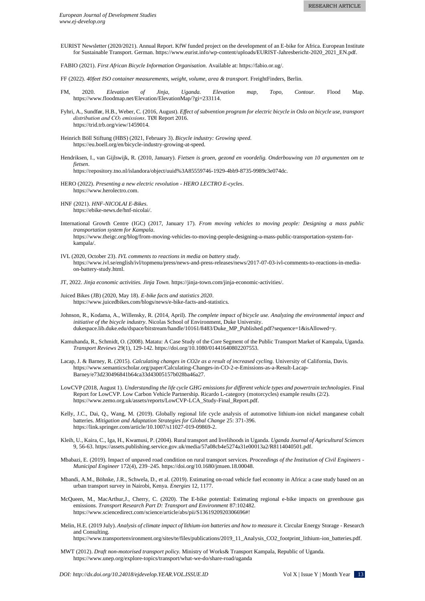EURIST Newsletter (2020/2021). Annual Report. KfW funded project on the development of an E-bike for Africa. European Institute for Sustainable Transport. German. https://www.eurist.info/wp-content/uploads/EURIST-Jahresbericht-2020\_2021\_EN.pdf.

FABIO (2021). *First African Bicycle Information Organisation.* Available at: https://fabio.or.ug/.

FF (2022). *40feet ISO container measurements, weight, volume, area & transport.* FreightFinders, Berlin.

- FM, 2020. *Elevation of Jinja, Uganda. Elevation map, Topo, Contour.* Flood Map. https://www.floodmap.net/Elevation/ElevationMap/?gi=233114.
- Fyhri, A., Sundfør, H.B., Weber, C. (2016, August). *Effect of subvention program for electric bicycle in Oslo on bicycle use, transport distribution and CO₂ emissions*. TØI Report 2016. https://trid.trb.org/view/1459014.
- Heinrich Böll Stiftung (HBS) (2021, February 3). *Bicycle industry: Growing speed.*  https://eu.boell.org/en/bicycle-industry-growing-at-speed.
- Hendriksen, I., van Gijlswijk, R. (2010, January). *Fietsen is groen, gezond en voordelig. Onderbouwing van 10 argumenten om te fietsen*. https://repository.tno.nl/islandora/object/uuid%3A85559746-1929-4bb9-8735-9989c3e074dc.
- HERO (2022). *Presenting a new electric revolution - HERO LECTRO E-cycles*.

https://www.herolectro.com.

- HNF (2021). *HNF-NICOLAI E-Bikes*. https://ebike-news.de/hnf-nicolai/.
- International Growth Centre (IGC) (2017, January 17). *From moving vehicles to moving people: Designing a mass public transportation system for Kampala*. https://www.theigc.org/blog/from-moving-vehicles-to-moving-people-designing-a-mass-public-transportation-system-forkampala/.
- IVL (2020, October 23). *IVL comments to reactions in media on battery study*. https://www.ivl.se/english/ivl/topmenu/press/news-and-press-releases/news/2017-07-03-ivl-comments-to-reactions-in-mediaon-battery-study.html.

JT, 2022. *Jinja economic activities. Jinja Town.* https://jinja-town.com/jinja-economic-activities/.

- Juiced Bikes (JB) (2020, May 18). *E-bike facts and statistics 2020*. https://www.juicedbikes.com/blogs/news/e-bike-facts-and-statistics.
- Johnson, R., Kodama, A., Willensky, R. (2014, April). *The complete impact of bicycle use. Analyzing the environmental impact and initiative of the bicycle industry*. Nicolas School of Environment, Duke University. dukespace.lib.duke.edu/dspace/bitstream/handle/10161/8483/Duke\_MP\_Published.pdf?sequence=1&isAllowed=y.
- Kamuhanda, R., Schmidt, O. (2008). Matatu: A Case Study of the Core Segment of the Public Transport Market of Kampala, Uganda. *Transport Reviews* 29(1), 129-142. https://doi.org/10.1080/01441640802207553.
- Lacap, J. & Barney, R. (2015). *Calculating changes in CO2e as a result of increased cycling.* University of California, Davis. https://www.semanticscholar.org/paper/Calculating-Changes-in-CO-2-e-Emissions-as-a-Result-Lacap-Barney/e73d230496841b64ca33d43005157b028ba46a27.
- LowCVP (2018, August 1). *Understanding the life cycle GHG emissions for different vehicle types and powertrain technologies*. Final Report for LowCVP. Low Carbon Vehicle Partnership. Ricardo L-category (motorcycles) example results (2/2). https://www.zemo.org.uk/assets/reports/LowCVP-LCA\_Study-Final\_Report.pdf.
- Kelly, J.C., Dai, Q., Wang, M. (2019). Globally regional life cycle analysis of automotive lithium-ion nickel manganese cobalt batteries. *Mitigation and Adaptation Strategies for Global Change* 25: 371-396. https://link.springer.com/article/10.1007/s11027-019-09869-2.
- Kleih, U., Kaira, C., Iga, H., Kwamusi, P. (2004). Rural transport and livelihoods in Uganda. *Uganda Journal of Agricultural Sciences* 9, 56-63. https://assets.publishing.service.gov.uk/media/57a08cb4e5274a31e00013a2/R8114040501.pdf.
- Mbabazi, E. (2019). Impact of unpaved road condition on rural transport services. *Proceedings of the Institution of Civil Engineers - Municipal Engineer* 172(4), 239–245[. https://doi.org/10.1680/jmuen.18.00048.](https://doi.org/10.1680/jmuen.18.00048)
- Mbandi, A.M., Böhnke, J.R., Schwela, D., et al. (2019). Estimating on-road vehicle fuel economy in Africa: a case study based on an urban transport survey in Nairobi, Kenya. *Energies* 12, 1177.
- McQueen, M., MacArthur,J., Cherry, C. (2020). The E-bike potential: Estimating regional e-bike impacts on greenhouse gas emissions. *Transport Research Part D: Transport and Environment* 87:102482. https://www.sciencedirect.com/science/article/abs/pii/S1361920920306696#!
- Melin, H.E. (2019 July). *Analysis of climate impact of lithium-ion batteries and how to measure it.* Circular Energy Storage Research and Consulting.

https://www.transportenvironment.org/sites/te/files/publications/2019\_11\_Analysis\_CO2\_footprint\_lithium-ion\_batteries.pdf.

MWT (2012). *Draft non-motorised transport policy.* Ministry of Works& Transport Kampala, Republic of Uganda. https://www.unep.org/explore-topics/transport/what-we-do/share-road/uganda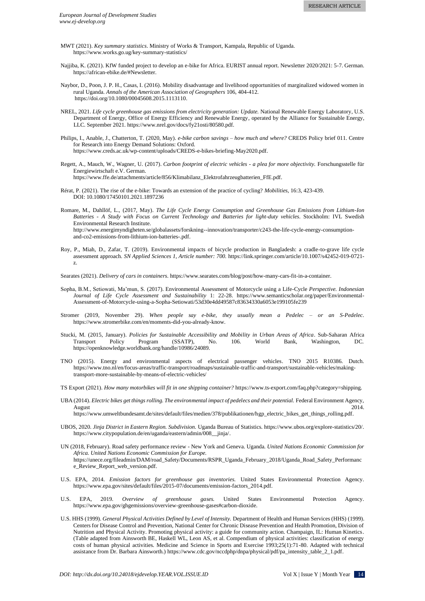- MWT (2021). *Key summary statistics*. Ministry of Works & Transport, Kampala, Republic of Uganda. https://www.works.go.ug/key-summary-statistics/
- Najjiba, K. (2021). KfW funded project to develop an e-bike for Africa. EURIST annual report. Newsletter 2020/2021: 5-7. German. https://african-ebike.de/#Newsletter.
- Naybor, D., Poon, J. P. H., Casas, I. (2016). Mobility disadvantage and livelihood opportunities of marginalized widowed women in rural Uganda. *Annals of the American Association of Geographers* 106, 404-412. https://doi.org/10.1080/00045608.2015.1113110.
- NREL, 2021. *Life cycle greenhouse gas emissions from electricity generation: Update.* National Renewable Energy Laboratory, U.S. Department of Energy, Office of Energy Efficiency and Renewable Energy, operated by the Alliance for Sustainable Energy, LLC. September 2021. https://www.nrel.gov/docs/fy21osti/80580.pdf.
- Philips, I., Anable, J., Chatterton, T. (2020, May). *e-bike carbon savings – how much and where?* CREDS Policy brief 011. Centre for Research into Energy Demand Solutions: Oxford. https://www.creds.ac.uk/wp-content/uploads/CREDS-e-bikes-briefing-May2020.pdf.
- Regett, A., Mauch, W., Wagner, U. (2017). *Carbon footprint of electric vehicles - a plea for more objectivity.* Forschungsstelle für Energiewirtschaft e.V. German.

https://www.ffe.de/attachments/article/856/Klimabilanz\_Elektrofahrzeugbatterien\_FfE.pdf.

- Rérat, P. (2021). The rise of the e-bike: Towards an extension of the practice of cycling? *Mobilities*, 16:3, 423-439. DOI: [10.1080/17450101.2021.1897236](https://doi.org/10.1080/17450101.2021.1897236)
- Romare, M., Dahllöf, L., (2017, May). *The Life Cycle Energy Consumption and Greenhouse Gas Emissions from Lithium-Ion Batteries - A Study with Focus on Current Technology and Batteries for light-duty vehicles*. Stockholm: IVL Swedish Environmental Research Institute. http://www.energimyndigheten.se/globalassets/forskning--innovation/transporter/c243-the-life-cycle-energy-consumptionand-co2-emissions-from-lithium-ion-batteries-.pdf.
- Roy, P., Miah, D., Zafar, T. (2019). Environmental impacts of bicycle production in Bangladesh: a cradle-to-grave life cycle assessment approach. *SN Applied Sciences 1, Article number: 700.* https://link.springer.com/article/10.1007/s42452-019-0721 z.

Searates (2021). *Delivery of cars in containers*. https://www.searates.com/blog/post/how-many-cars-fit-in-a-container.

- Sopha, B.M., Setiowati, Ma'mun, S. (2017). Environmental Assessment of Motorcycle using a Life-Cycle *Perspective. Indonesian Journal of Life Cycle Assessment and Sustainability* 1: 22-28. https://www.semanticscholar.org/paper/Environmental-Assessment-of-Motorcycle-using-a-Sopha-Setiowati/53d30e4dd49587c83634330a6053e199105fe239
- Stromer (2019, November 29). *When people say e-bike, they usually mean a Pedelec – or an S-Pedelec*. https://www.stromerbike.com/en/moments-did-you-already-know.
- Stucki, M. (2015, January). *Policies for Sustainable Accessibility and Mobility in Urban Areas of Africa*. Sub-Saharan Africa Transport Policy Program (SSATP), No. 106. World Bank, Washington, DC. https://openknowledge.worldbank.org/handle/10986/24089.
- TNO (2015). Energy and environmental aspects of electrical passenger vehicles. TNO 2015 R10386. Dutch. https://www.tno.nl/en/focus-areas/traffic-transport/roadmaps/sustainable-traffic-and-transport/sustainable-vehicles/makingtransport-more-sustainable-by-means-of-electric-vehicles/

TS Export (2021). *How many motorbikes will fit in one shipping container?* https://www.ts-export.com/faq.php?category=shipping.

UBA (2014). *Electric bikes get things rolling. The environmental impact of pedelecs and their potential.* Federal Environment Agency, August 2014.

https://www.umweltbundesamt.de/sites/default/files/medien/378/publikationen/hgp\_electric\_bikes\_get\_things\_rolling.pdf.

- UBOS, 2020. *Jinja District in Eastern Region. Subdivision.* Uganda Bureau of Statistics. https://www.ubos.org/explore-statistics/20/. https://www.citypopulation.de/en/uganda/eastern/admin/008\_\_jinja/.
- UN (2018, February). Road safety performance review New York and Geneva. Uganda. *United Nations Economic Commission for Africa. United Nations Economic Commission for Europe.* https://unece.org/fileadmin/DAM/road\_Safety/Documents/RSPR\_Uganda\_February\_2018/Uganda\_Road\_Safety\_Performanc e\_Review\_Report\_web\_version.pdf.
- U.S. EPA, 2014. *Emission factors for greenhouse gas inventories.* United States Environmental Protection Agency. https://www.epa.gov/sites/default/files/2015-07/documents/emission-factors\_2014.pdf.
- U.S. EPA, 2019. *Overview of greenhouse gases.* United States Environmental Protection Agency. https://www.epa.gov/ghgemissions/overview-greenhouse-gases#carbon-dioxide.
- U.S. HHS (1999). *General Physical Activities Defined by Level of Intensity.* Department of Health and Human Services (HHS) (1999). Centers for Disease Control and Prevention, National Center for Chronic Disease Prevention and Health Promotion, Division of Nutrition and Physical Activity. Promoting physical activity: a guide for community action. Champaign, IL: Human Kinetics. (Table adapted from Ainsworth BE, Haskell WL, Leon AS, et al. Compendium of physical activities: classification of energy costs of human physical activities. Medicine and Science in Sports and Exercise 1993;25(1):71-80. Adapted with technical assistance from Dr. Barbara Ainsworth.[\) https://www.cdc.gov/nccdphp/dnpa/physical/pdf/pa\\_intensity\\_table\\_2\\_1.pdf.](https://www.cdc.gov/nccdphp/dnpa/physical/pdf/pa_intensity_table_2_1.pdf)